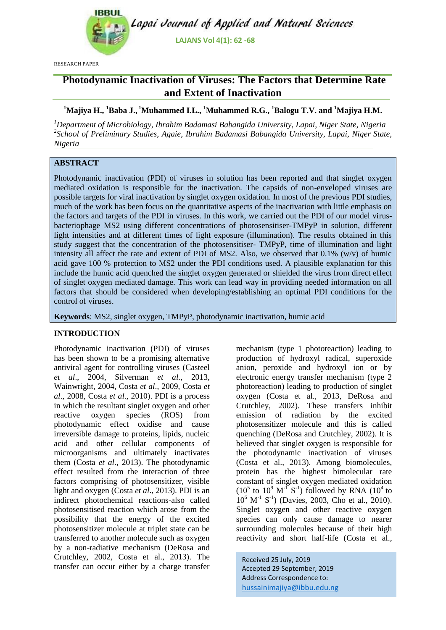

RESEARCH PAPER

# **Photodynamic Inactivation of Viruses: The Factors that Determine Rate and Extent of Inactivation**

## **<sup>1</sup>Majiya H., <sup>1</sup>Baba J., <sup>1</sup>Muhammed I.L., <sup>1</sup>Muhammed R.G., <sup>1</sup>Balogu T.V. and <sup>1</sup>Majiya H.M.**

*<sup>1</sup>Department of Microbiology, Ibrahim Badamasi Babangida University, Lapai, Niger State, Nigeria 2 School of Preliminary Studies, Agaie, Ibrahim Badamasi Babangida University, Lapai, Niger State, Nigeria*

## **ABSTRACT**

Photodynamic inactivation (PDI) of viruses in solution has been reported and that singlet oxygen mediated oxidation is responsible for the inactivation. The capsids of non-enveloped viruses are possible targets for viral inactivation by singlet oxygen oxidation. In most of the previous PDI studies, much of the work has been focus on the quantitative aspects of the inactivation with little emphasis on the factors and targets of the PDI in viruses. In this work, we carried out the PDI of our model virusbacteriophage MS2 using different concentrations of photosensitiser-TMPyP in solution, different light intensities and at different times of light exposure (illumination). The results obtained in this study suggest that the concentration of the photosensitiser- TMPyP, time of illumination and light intensity all affect the rate and extent of PDI of MS2. Also, we observed that  $0.1\%$  (w/v) of humic acid gave 100 % protection to MS2 under the PDI conditions used. A plausible explanation for this include the humic acid quenched the singlet oxygen generated or shielded the virus from direct effect of singlet oxygen mediated damage. This work can lead way in providing needed information on all factors that should be considered when developing/establishing an optimal PDI conditions for the control of viruses.

**Keywords**: MS2, singlet oxygen, TMPyP, photodynamic inactivation, humic acid

## **INTRODUCTION**

Photodynamic inactivation (PDI) of viruses has been shown to be a promising alternative antiviral agent for controlling viruses (Casteel *et al*., 2004, Silverman *et al.*, 2013, Wainwright, 2004, Costa *et al*., 2009, Costa *et al*., 2008, Costa *et al*., 2010). PDI is a process in which the resultant singlet oxygen and other reactive oxygen species (ROS) from photodynamic effect oxidise and cause irreversible damage to proteins, lipids, nucleic acid and other cellular components of microorganisms and ultimately inactivates them (Costa *et al*., 2013). The photodynamic effect resulted from the interaction of three factors comprising of photosensitizer, visible light and oxygen (Costa *et al*., 2013). PDI is an indirect photochemical reactions-also called photosensitised reaction which arose from the possibility that the energy of the excited photosensitizer molecule at triplet state can be transferred to another molecule such as oxygen by a non-radiative mechanism (DeRosa and Crutchley, 2002, Costa et al., 2013). The transfer can occur either by a charge transfer

mechanism (type 1 photoreaction) leading to production of hydroxyl radical, superoxide anion, peroxide and hydroxyl ion or by electronic energy transfer mechanism (type 2 photoreaction) leading to production of singlet oxygen (Costa et al., 2013, DeRosa and Crutchley, 2002). These transfers inhibit emission of radiation by the excited photosensitizer molecule and this is called quenching (DeRosa and Crutchley, 2002). It is believed that singlet oxygen is responsible for the photodynamic inactivation of viruses (Costa et al., 2013). Among biomolecules, protein has the highest bimolecular rate constant of singlet oxygen mediated oxidation  $(10^5 \text{ to } 10^9 \text{ M}^{-1} \text{ S}^{-1})$  followed by RNA  $(10^4 \text{ to } 10^9 \text{ M}^{-1} \text{ S}^{-1})$  $10^6$  M<sup>-1</sup> S<sup>-1</sup>) (Davies, 2003, Cho et al., 2010). Singlet oxygen and other reactive oxygen species can only cause damage to nearer surrounding molecules because of their high reactivity and short half-life (Costa et al.,

Received 25 July, 2019 Accepted 29 September, 2019 Address Correspondence to: hussainimajiya@ibbu.edu.ng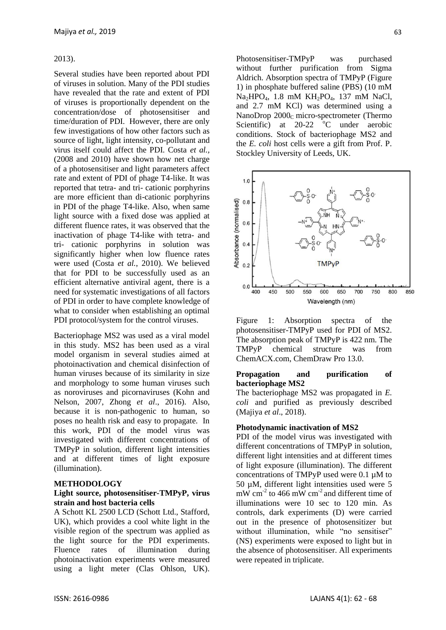#### 2013).

Several studies have been reported about PDI of viruses in solution. Many of the PDI studies have revealed that the rate and extent of PDI of viruses is proportionally dependent on the concentration/dose of photosensitiser and time/duration of PDI. However, there are only few investigations of how other factors such as source of light, light intensity, co-pollutant and virus itself could affect the PDI. Costa *et al.,* (2008 and 2010) have shown how net charge of a photosensitiser and light parameters affect rate and extent of PDI of phage T4-like. It was reported that tetra- and tri- cationic porphyrins are more efficient than di-cationic porphyrins in PDI of the phage T4-like. Also, when same light source with a fixed dose was applied at different fluence rates, it was observed that the inactivation of phage T4-like with tetra- and tri- cationic porphyrins in solution was significantly higher when low fluence rates were used (Costa *et al.*, 2010). We believed that for PDI to be successfully used as an efficient alternative antiviral agent, there is a need for systematic investigations of all factors of PDI in order to have complete knowledge of what to consider when establishing an optimal PDI protocol/system for the control viruses.

Bacteriophage MS2 was used as a viral model in this study. MS2 has been used as a viral model organism in several studies aimed at photoinactivation and chemical disinfection of human viruses because of its similarity in size and morphology to some human viruses such as noroviruses and picornaviruses (Kohn and Nelson, 2007, Zhong *et al*., 2016). Also, because it is non-pathogenic to human, so poses no health risk and easy to propagate. In this work, PDI of the model virus was investigated with different concentrations of TMPyP in solution, different light intensities and at different times of light exposure (illumination).

#### **METHODOLOGY**

#### **Light source, photosensitiser-TMPyP, virus strain and host bacteria cells**

A Schott KL 2500 LCD (Schott Ltd., Stafford, UK), which provides a cool white light in the visible region of the spectrum was applied as the light source for the PDI experiments. Fluence rates of illumination during photoinactivation experiments were measured using a light meter (Clas Ohlson, UK).

Photosensitiser-TMPyP was purchased without further purification from Sigma Aldrich. Absorption spectra of TMPyP (Figure 1) in phosphate buffered saline (PBS) (10 mM  $Na<sub>2</sub>HPO<sub>4</sub>$ , 1.8 mM  $KH<sub>2</sub>PO<sub>4</sub>$ , 137 mM NaCl, and 2.7 mM KCl) was determined using a NanoDrop  $2000<sub>C</sub>$  micro-spectrometer (Thermo Scientific) at  $20-22$  °C under aerobic conditions. Stock of bacteriophage MS2 and the *E. coli* host cells were a gift from Prof. P. Stockley University of Leeds, UK.



Figure 1: Absorption spectra of the photosensitiser-TMPyP used for PDI of MS2. The absorption peak of TMPyP is 422 nm. The TMPyP chemical structure was from ChemACX.com, ChemDraw Pro 13.0.

#### **Propagation and purification of bacteriophage MS2**

The bacteriophage MS2 was propagated in *E. coli* and purified as previously described [\(Majiya](#page-5-0) *et al*., 2018).

#### **Photodynamic inactivation of MS2**

PDI of the model virus was investigated with different concentrations of TMPyP in solution, different light intensities and at different times of light exposure (illumination). The different concentrations of TMPyP used were 0.1 µM to 50 µM, different light intensities used were 5 mW cm<sup>-2</sup> to 466 mW cm<sup>-2</sup> and different time of illuminations were 10 sec to 120 min. As controls, dark experiments (D) were carried out in the presence of photosensitizer but without illumination, while "no sensitiser" (NS) experiments were exposed to light but in the absence of photosensitiser. All experiments were repeated in triplicate.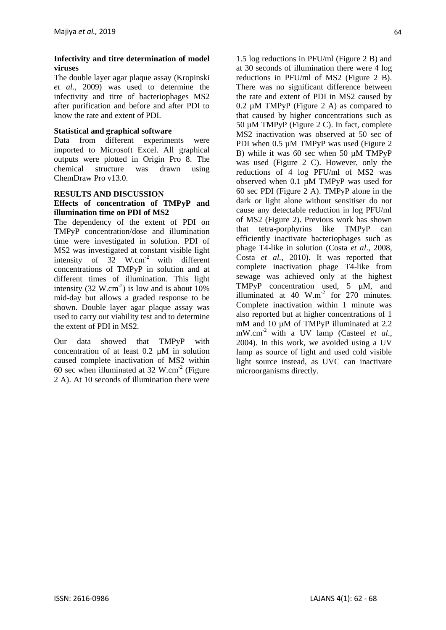#### **Infectivity and titre determination of model viruses**

The double layer agar plaque assay (Kropinski *et al*., 2009) was used to determine the infectivity and titre of bacteriophages MS2 after purification and before and after PDI to know the rate and extent of PDI.

## **Statistical and graphical software**

Data from different experiments were imported to Microsoft Excel. All graphical outputs were plotted in Origin Pro 8. The chemical structure was drawn using ChemDraw Pro v13.0.

#### **RESULTS AND DISCUSSION**

## **Effects of concentration of TMPyP and illumination time on PDI of MS2**

The dependency of the extent of PDI on TMPyP concentration/dose and illumination time were investigated in solution. PDI of MS2 was investigated at constant visible light intensity of  $32$  W.cm<sup>-2</sup> with different concentrations of TMPyP in solution and at different times of illumination. This light intensity  $(32 \text{ W.cm}^2)$  is low and is about  $10\%$ mid-day but allows a graded response to be shown. Double layer agar plaque assay was used to carry out viability test and to determine the extent of PDI in MS2.

Our data showed that TMPyP with concentration of at least 0.2 µM in solution caused complete inactivation of MS2 within 60 sec when illuminated at  $32$  W.cm<sup>-2</sup> (Figure 2 A). At 10 seconds of illumination there were 1.5 log reductions in PFU/ml (Figure 2 B) and at 30 seconds of illumination there were 4 log reductions in PFU/ml of MS2 (Figure 2 B). There was no significant difference between the rate and extent of PDI in MS2 caused by  $0.2 \mu M$  TMPyP (Figure 2 A) as compared to that caused by higher concentrations such as 50 µM TMPyP (Figure 2 C). In fact, complete MS2 inactivation was observed at 50 sec of PDI when 0.5  $\mu$ M TMPyP was used (Figure 2) B) while it was 60 sec when 50  $\mu$ M TMPyP was used (Figure 2 C). However, only the reductions of 4 log PFU/ml of MS2 was observed when 0.1 µM TMPyP was used for 60 sec PDI (Figure 2 A). TMPyP alone in the dark or light alone without sensitiser do not cause any detectable reduction in log PFU/ml of MS2 (Figure 2). Previous work has shown that tetra-porphyrins like TMPyP can efficiently inactivate bacteriophages such as phage T4-like in solution (Costa *et al*., 2008, Costa *et al.*[, 2010\)](#page-5-1). It was reported that complete inactivation phage T4-like from sewage was achieved only at the highest TMPyP concentration used, 5  $\mu$ M, and illuminated at 40  $W.m^{-2}$  for 270 minutes. Complete inactivation within 1 minute was also reported but at higher concentrations of 1 mM and 10  $\mu$ M of TMPyP illuminated at 2.2 mW.cm-2 with a UV lamp [\(Casteel](#page-5-2) *et al*., [2004\)](#page-5-2). In this work, we avoided using a UV lamp as source of light and used cold visible light source instead, as UVC can inactivate microorganisms directly.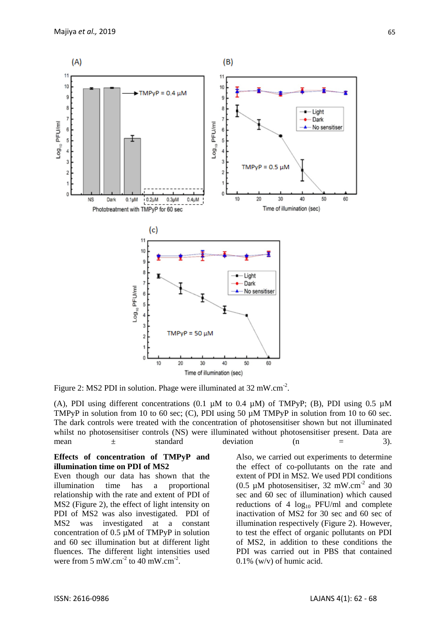

Figure 2: MS2 PDI in solution. Phage were illuminated at  $32 \text{ mW.cm}^2$ .

(A), PDI using different concentrations (0.1  $\mu$ M to 0.4  $\mu$ M) of TMPyP; (B), PDI using 0.5  $\mu$ M TMPyP in solution from 10 to 60 sec; (C), PDI using 50  $\mu$ M TMPyP in solution from 10 to 60 sec. The dark controls were treated with the concentration of photosensitiser shown but not illuminated whilst no photosensitiser controls (NS) were illuminated without photosensitiser present. Data are mean  $\pm$  standard deviation (n  $=$  3).

#### **Effects of concentration of TMPyP and illumination time on PDI of MS2**

Even though our data has shown that the illumination time has a proportional relationship with the rate and extent of PDI of MS2 (Figure 2), the effect of light intensity on PDI of MS2 was also investigated. PDI of MS2 was investigated at a constant concentration of 0.5 µM of TMPyP in solution and 60 sec illumination but at different light fluences. The different light intensities used were from 5 mW.cm<sup>-2</sup> to 40 mW.cm<sup>-2</sup>.

Also, we carried out experiments to determine the effect of co-pollutants on the rate and extent of PDI in MS2. We used PDI conditions (0.5  $\mu$ M photosensitiser, 32 mW.cm<sup>-2</sup> and 30 sec and 60 sec of illumination) which caused reductions of 4  $log_{10}$  PFU/ml and complete inactivation of MS2 for 30 sec and 60 sec of illumination respectively (Figure 2). However, to test the effect of organic pollutants on PDI of MS2, in addition to these conditions the PDI was carried out in PBS that contained 0.1% (w/v) of humic acid.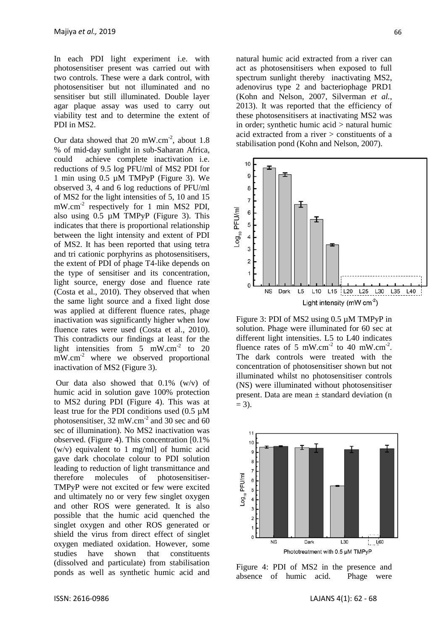In each PDI light experiment i.e. with photosensitiser present was carried out with two controls. These were a dark control, with photosensitiser but not illuminated and no sensitiser but still illuminated. Double layer agar plaque assay was used to carry out viability test and to determine the extent of PDI in MS2.

Our data showed that 20 mW.cm<sup>-2</sup>, about 1.8 % of mid-day sunlight in sub-Saharan Africa, could achieve complete inactivation i.e. reductions of 9.5 log PFU/ml of MS2 PDI for 1 min using 0.5 µM TMPyP (Figure 3). We observed 3, 4 and 6 log reductions of PFU/ml of MS2 for the light intensities of 5, 10 and 15 mW.cm<sup>-2</sup> respectively for 1 min MS2 PDI, also using  $0.5 \mu M$  TMPyP (Figure 3). This indicates that there is proportional relationship between the light intensity and extent of PDI of MS2. It has been reported that using tetra and tri cationic porphyrins as photosensitisers, the extent of PDI of phage T4-like depends on the type of sensitiser and its concentration, light source, energy dose and fluence rate [\(Costa et al., 2010\)](#page-5-1). They observed that when the same light source and a fixed light dose was applied at different fluence rates, phage inactivation was significantly higher when low fluence rates were used [\(Costa et al., 2010\)](#page-5-1). This contradicts our findings at least for the light intensities from  $5 \text{ mW.cm}^2$  to  $20$ mW.cm<sup>-2</sup> where we observed proportional inactivation of MS2 (Figure 3).

Our data also showed that  $0.1\%$  (w/v) of humic acid in solution gave 100% protection to MS2 during PDI (Figure 4). This was at least true for the PDI conditions used (0.5 µM photosensitiser,  $32 \text{ mW.cm}^2$  and  $30 \text{ sec}$  and  $60$ sec of illumination). No MS2 inactivation was observed. (Figure 4). This concentration [0.1% (w/v) equivalent to 1 mg/ml] of humic acid gave dark chocolate colour to PDI solution leading to reduction of light transmittance and therefore molecules of photosensitiser-TMPyP were not excited or few were excited and ultimately no or very few singlet oxygen and other ROS were generated. It is also possible that the humic acid quenched the singlet oxygen and other ROS generated or shield the virus from direct effect of singlet oxygen mediated oxidation. However, some studies have shown that constituents (dissolved and particulate) from stabilisation ponds as well as synthetic humic acid and

natural humic acid extracted from a river can act as photosensitisers when exposed to full spectrum sunlight thereby inactivating MS2, adenovirus type 2 and bacteriophage PRD1 [\(Kohn and Nelson, 2007,](#page-5-3) [Silverman](#page-6-0) *et al.*, [2013\)](#page-6-0). It was reported that the efficiency of these photosensitisers at inactivating MS2 was in order; synthetic humic acid > natural humic acid extracted from a river > constituents of a stabilisation pond [\(Kohn and Nelson, 2007\)](#page-5-3).



Figure 3: PDI of MS2 using 0.5 µM TMPyP in solution. Phage were illuminated for 60 sec at different light intensities. L5 to L40 indicates fluence rates of 5 mW.cm<sup>-2</sup> to 40 mW.cm<sup>-2</sup>. The dark controls were treated with the concentration of photosensitiser shown but not illuminated whilst no photosensitiser controls (NS) were illuminated without photosensitiser present. Data are mean  $\pm$  standard deviation (n  $= 3$ ).



Figure 4: PDI of MS2 in the presence and absence of humic acid. Phage were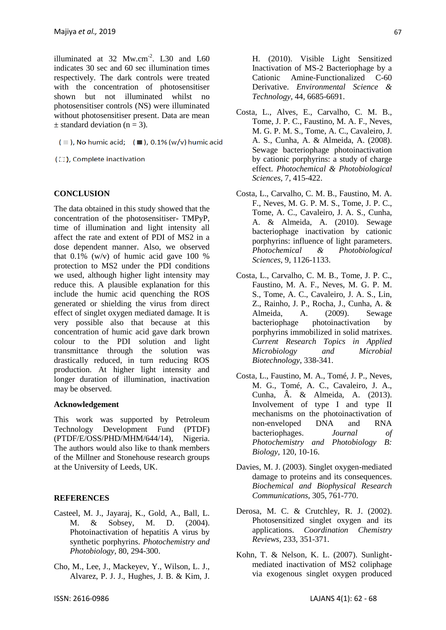illuminated at  $32$  Mw.cm<sup>-2</sup>. L30 and L60 indicates 30 sec and 60 sec illumination times respectively. The dark controls were treated with the concentration of photosensitiser shown but not illuminated whilst no photosensitiser controls (NS) were illuminated without photosensitiser present. Data are mean  $\pm$  standard deviation (n = 3).

( ■ ), No humic acid; ( ■ ), 0.1% (w/v) humic acid

(EI), Complete inactivation

## **CONCLUSION**

The data obtained in this study showed that the concentration of the photosensitiser- TMPyP, time of illumination and light intensity all affect the rate and extent of PDI of MS2 in a dose dependent manner. Also, we observed that  $0.1\%$  (w/v) of humic acid gave 100 % protection to MS2 under the PDI conditions we used, although higher light intensity may reduce this. A plausible explanation for this include the humic acid quenching the ROS generated or shielding the virus from direct effect of singlet oxygen mediated damage. It is very possible also that because at this concentration of humic acid gave dark brown colour to the PDI solution and light transmittance through the solution was drastically reduced, in turn reducing ROS production. At higher light intensity and longer duration of illumination, inactivation may be observed.

#### **Acknowledgement**

This work was supported by Petroleum Technology Development Fund (PTDF) [\(PTDF/E/OSS/PHD/MHM/644/14\)](https://www.sciencedirect.com/science/article/pii/S1011134417305705#gts0005), Nigeria. The authors would also like to thank members of the Millner and Stonehouse research groups at the University of Leeds, UK.

## **REFERENCES**

- <span id="page-5-2"></span>Casteel, M. J., Jayaraj, K., Gold, A., Ball, L. M. & Sobsey, M. D. (2004). Photoinactivation of hepatitis A virus by synthetic porphyrins. *Photochemistry and Photobiology,* 80, 294-300.
- Cho, M., Lee, J., Mackeyev, Y., Wilson, L. J., Alvarez, P. J. J., Hughes, J. B. & Kim, J.

H. (2010). Visible Light Sensitized Inactivation of MS-2 Bacteriophage by a Cationic Amine-Functionalized C-60 Derivative. *Environmental Science & Technology,* 44, 6685-6691.

- Costa, L., Alves, E., Carvalho, C. M. B., Tome, J. P. C., Faustino, M. A. F., Neves, M. G. P. M. S., Tome, A. C., Cavaleiro, J. A. S., Cunha, A. & Almeida, A. (2008). Sewage bacteriophage photoinactivation by cationic porphyrins: a study of charge effect. *Photochemical & Photobiological Sciences,* 7, 415-422.
- <span id="page-5-1"></span>Costa, L., Carvalho, C. M. B., Faustino, M. A. F., Neves, M. G. P. M. S., Tome, J. P. C., Tome, A. C., Cavaleiro, J. A. S., Cunha, A. & Almeida, A. (2010). Sewage bacteriophage inactivation by cationic porphyrins: influence of light parameters. *Photochemical & Photobiological Sciences,* 9, 1126-1133.
- Costa, L., Carvalho, C. M. B., Tome, J. P. C., Faustino, M. A. F., Neves, M. G. P. M. S., Tome, A. C., Cavaleiro, J. A. S., Lin, Z., Rainho, J. P., Rocha, J., Cunha, A. & Almeida, A. (2009). Sewage bacteriophage photoinactivation by porphyrins immobilized in solid matrixes. *Current Research Topics in Applied Microbiology and Microbial Biotechnology*, 338-341.
- <span id="page-5-0"></span>Costa, L., Faustino, M. A., Tomé, J. P., Neves, M. G., Tomé, A. C., Cavaleiro, J. A., Cunha, Â. & Almeida, A. (2013). Involvement of type I and type II mechanisms on the photoinactivation of non-enveloped DNA and RNA bacteriophages. *Journal of Photochemistry and Photobiology B: Biology,* 120, 10-16.
- Davies, M. J. (2003). Singlet oxygen-mediated damage to proteins and its consequences. *Biochemical and Biophysical Research Communications,* 305, 761-770.
- Derosa, M. C. & Crutchley, R. J. (2002). Photosensitized singlet oxygen and its applications. *Coordination Chemistry Reviews,* 233, 351-371.
- <span id="page-5-3"></span>Kohn, T. & Nelson, K. L. (2007). Sunlightmediated inactivation of MS2 coliphage via exogenous singlet oxygen produced